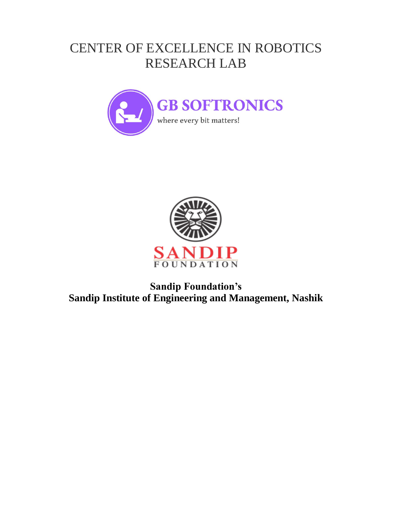## CENTER OF EXCELLENCE IN ROBOTICS RESEARCH LAB





## **Sandip Foundation's Sandip Institute of Engineering and Management, Nashik**